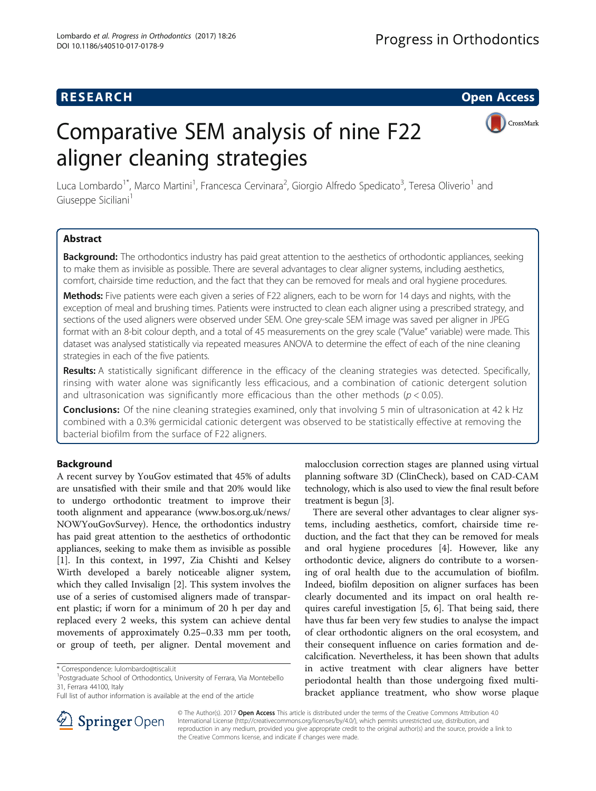## **RESEARCH CHE Open Access**

# Comparative SEM analysis of nine F22 aligner cleaning strategies



Luca Lombardo<sup>1\*</sup>, Marco Martini<sup>1</sup>, Francesca Cervinara<sup>2</sup>, Giorgio Alfredo Spedicato<sup>3</sup>, Teresa Oliverio<sup>1</sup> and Giuseppe Siciliani<sup>1</sup>

## Abstract

Background: The orthodontics industry has paid great attention to the aesthetics of orthodontic appliances, seeking to make them as invisible as possible. There are several advantages to clear aligner systems, including aesthetics, comfort, chairside time reduction, and the fact that they can be removed for meals and oral hygiene procedures.

Methods: Five patients were each given a series of F22 aligners, each to be worn for 14 days and nights, with the exception of meal and brushing times. Patients were instructed to clean each aligner using a prescribed strategy, and sections of the used aligners were observed under SEM. One grey-scale SEM image was saved per aligner in JPEG format with an 8-bit colour depth, and a total of 45 measurements on the grey scale ("Value" variable) were made. This dataset was analysed statistically via repeated measures ANOVA to determine the effect of each of the nine cleaning strategies in each of the five patients.

Results: A statistically significant difference in the efficacy of the cleaning strategies was detected. Specifically, rinsing with water alone was significantly less efficacious, and a combination of cationic detergent solution and ultrasonication was significantly more efficacious than the other methods ( $p < 0.05$ ).

Conclusions: Of the nine cleaning strategies examined, only that involving 5 min of ultrasonication at 42 k Hz combined with a 0.3% germicidal cationic detergent was observed to be statistically effective at removing the bacterial biofilm from the surface of F22 aligners.

## Background

A recent survey by YouGov estimated that 45% of adults are unsatisfied with their smile and that 20% would like to undergo orthodontic treatment to improve their tooth alignment and appearance [\(www.bos.org.uk/news/](http://www.bos.org.uk/news/NOWYouGovSurvey) [NOWYouGovSurvey\)](http://www.bos.org.uk/news/NOWYouGovSurvey). Hence, the orthodontics industry has paid great attention to the aesthetics of orthodontic appliances, seeking to make them as invisible as possible [[1\]](#page-4-0). In this context, in 1997, Zia Chishti and Kelsey Wirth developed a barely noticeable aligner system, which they called Invisalign [[2](#page-4-0)]. This system involves the use of a series of customised aligners made of transparent plastic; if worn for a minimum of 20 h per day and replaced every 2 weeks, this system can achieve dental movements of approximately 0.25–0.33 mm per tooth, or group of teeth, per aligner. Dental movement and

malocclusion correction stages are planned using virtual planning software 3D (ClinCheck), based on CAD-CAM technology, which is also used to view the final result before treatment is begun [\[3\]](#page-4-0).

There are several other advantages to clear aligner systems, including aesthetics, comfort, chairside time reduction, and the fact that they can be removed for meals and oral hygiene procedures [[4\]](#page-4-0). However, like any orthodontic device, aligners do contribute to a worsening of oral health due to the accumulation of biofilm. Indeed, biofilm deposition on aligner surfaces has been clearly documented and its impact on oral health requires careful investigation [[5, 6](#page-4-0)]. That being said, there have thus far been very few studies to analyse the impact of clear orthodontic aligners on the oral ecosystem, and their consequent influence on caries formation and decalcification. Nevertheless, it has been shown that adults in active treatment with clear aligners have better periodontal health than those undergoing fixed multibracket appliance treatment, who show worse plaque



© The Author(s). 2017 Open Access This article is distributed under the terms of the Creative Commons Attribution 4.0 International License ([http://creativecommons.org/licenses/by/4.0/\)](http://creativecommons.org/licenses/by/4.0/), which permits unrestricted use, distribution, and reproduction in any medium, provided you give appropriate credit to the original author(s) and the source, provide a link to the Creative Commons license, and indicate if changes were made.

<sup>\*</sup> Correspondence: [lulombardo@tiscali.it](mailto:lulombardo@tiscali.it) <sup>1</sup>

<sup>&</sup>lt;sup>1</sup>Postgraduate School of Orthodontics, University of Ferrara, Via Montebello 31, Ferrara 44100, Italy

Full list of author information is available at the end of the article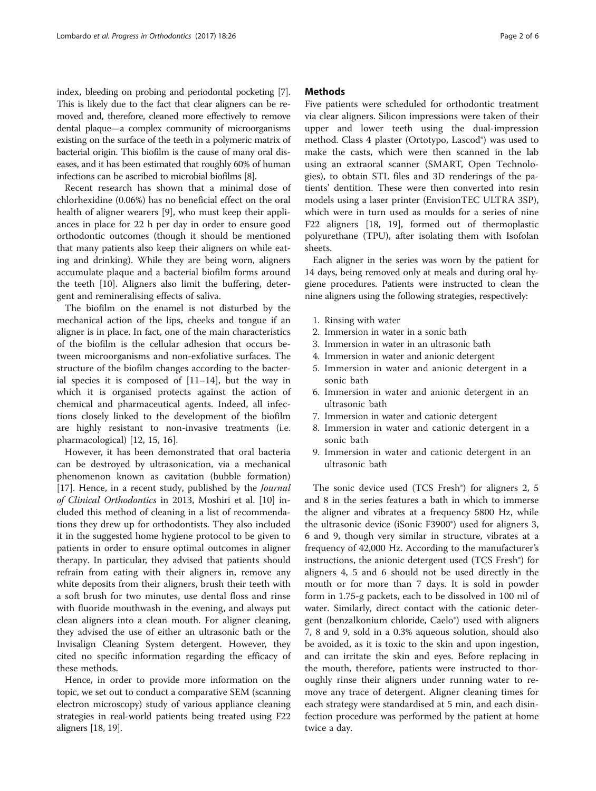index, bleeding on probing and periodontal pocketing [[7](#page-4-0)]. This is likely due to the fact that clear aligners can be removed and, therefore, cleaned more effectively to remove dental plaque—a complex community of microorganisms existing on the surface of the teeth in a polymeric matrix of bacterial origin. This biofilm is the cause of many oral diseases, and it has been estimated that roughly 60% of human infections can be ascribed to microbial biofilms [\[8\]](#page-4-0).

Recent research has shown that a minimal dose of chlorhexidine (0.06%) has no beneficial effect on the oral health of aligner wearers [[9\]](#page-5-0), who must keep their appliances in place for 22 h per day in order to ensure good orthodontic outcomes (though it should be mentioned that many patients also keep their aligners on while eating and drinking). While they are being worn, aligners accumulate plaque and a bacterial biofilm forms around the teeth [\[10](#page-5-0)]. Aligners also limit the buffering, detergent and remineralising effects of saliva.

The biofilm on the enamel is not disturbed by the mechanical action of the lips, cheeks and tongue if an aligner is in place. In fact, one of the main characteristics of the biofilm is the cellular adhesion that occurs between microorganisms and non-exfoliative surfaces. The structure of the biofilm changes according to the bacterial species it is composed of [[11](#page-5-0)–[14](#page-5-0)], but the way in which it is organised protects against the action of chemical and pharmaceutical agents. Indeed, all infections closely linked to the development of the biofilm are highly resistant to non-invasive treatments (i.e. pharmacological) [[12, 15, 16\]](#page-5-0).

However, it has been demonstrated that oral bacteria can be destroyed by ultrasonication, via a mechanical phenomenon known as cavitation (bubble formation) [[17\]](#page-5-0). Hence, in a recent study, published by the *Journal* of Clinical Orthodontics in 2013, Moshiri et al. [\[10\]](#page-5-0) included this method of cleaning in a list of recommendations they drew up for orthodontists. They also included it in the suggested home hygiene protocol to be given to patients in order to ensure optimal outcomes in aligner therapy. In particular, they advised that patients should refrain from eating with their aligners in, remove any white deposits from their aligners, brush their teeth with a soft brush for two minutes, use dental floss and rinse with fluoride mouthwash in the evening, and always put clean aligners into a clean mouth. For aligner cleaning, they advised the use of either an ultrasonic bath or the Invisalign Cleaning System detergent. However, they cited no specific information regarding the efficacy of these methods.

Hence, in order to provide more information on the topic, we set out to conduct a comparative SEM (scanning electron microscopy) study of various appliance cleaning strategies in real-world patients being treated using F22 aligners [\[18, 19](#page-5-0)].

### **Methods**

Five patients were scheduled for orthodontic treatment via clear aligners. Silicon impressions were taken of their upper and lower teeth using the dual-impression method. Class 4 plaster (Ortotypo, Lascod®) was used to make the casts, which were then scanned in the lab using an extraoral scanner (SMART, Open Technologies), to obtain STL files and 3D renderings of the patients' dentition. These were then converted into resin models using a laser printer (EnvisionTEC ULTRA 3SP), which were in turn used as moulds for a series of nine F22 aligners [[18](#page-5-0), [19\]](#page-5-0), formed out of thermoplastic polyurethane (TPU), after isolating them with Isofolan sheets.

Each aligner in the series was worn by the patient for 14 days, being removed only at meals and during oral hygiene procedures. Patients were instructed to clean the nine aligners using the following strategies, respectively:

- 1. Rinsing with water
- 2. Immersion in water in a sonic bath
- 3. Immersion in water in an ultrasonic bath
- 4. Immersion in water and anionic detergent
- 5. Immersion in water and anionic detergent in a sonic bath
- 6. Immersion in water and anionic detergent in an ultrasonic bath
- 7. Immersion in water and cationic detergent
- 8. Immersion in water and cationic detergent in a sonic bath
- 9. Immersion in water and cationic detergent in an ultrasonic bath

The sonic device used (TCS Fresh®) for aligners 2, 5 and 8 in the series features a bath in which to immerse the aligner and vibrates at a frequency 5800 Hz, while the ultrasonic device (iSonic F3900®) used for aligners 3, 6 and 9, though very similar in structure, vibrates at a frequency of 42,000 Hz. According to the manufacturer's instructions, the anionic detergent used (TCS Fresh®) for aligners 4, 5 and 6 should not be used directly in the mouth or for more than 7 days. It is sold in powder form in 1.75-g packets, each to be dissolved in 100 ml of water. Similarly, direct contact with the cationic detergent (benzalkonium chloride, Caelo®) used with aligners 7, 8 and 9, sold in a 0.3% aqueous solution, should also be avoided, as it is toxic to the skin and upon ingestion, and can irritate the skin and eyes. Before replacing in the mouth, therefore, patients were instructed to thoroughly rinse their aligners under running water to remove any trace of detergent. Aligner cleaning times for each strategy were standardised at 5 min, and each disinfection procedure was performed by the patient at home twice a day.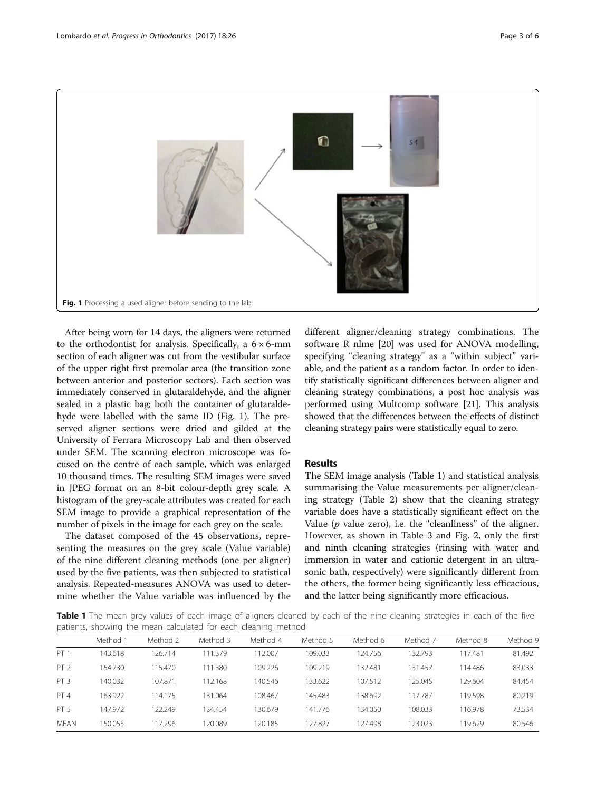

After being worn for 14 days, the aligners were returned to the orthodontist for analysis. Specifically, a  $6 \times 6$ -mm section of each aligner was cut from the vestibular surface of the upper right first premolar area (the transition zone between anterior and posterior sectors). Each section was immediately conserved in glutaraldehyde, and the aligner sealed in a plastic bag; both the container of glutaraldehyde were labelled with the same ID (Fig. 1). The preserved aligner sections were dried and gilded at the University of Ferrara Microscopy Lab and then observed under SEM. The scanning electron microscope was focused on the centre of each sample, which was enlarged 10 thousand times. The resulting SEM images were saved in JPEG format on an 8-bit colour-depth grey scale. A histogram of the grey-scale attributes was created for each SEM image to provide a graphical representation of the number of pixels in the image for each grey on the scale.

The dataset composed of the 45 observations, representing the measures on the grey scale (Value variable) of the nine different cleaning methods (one per aligner) used by the five patients, was then subjected to statistical analysis. Repeated-measures ANOVA was used to determine whether the Value variable was influenced by the

different aligner/cleaning strategy combinations. The software R nlme [\[20\]](#page-5-0) was used for ANOVA modelling, specifying "cleaning strategy" as a "within subject" variable, and the patient as a random factor. In order to identify statistically significant differences between aligner and cleaning strategy combinations, a post hoc analysis was performed using Multcomp software [[21\]](#page-5-0). This analysis showed that the differences between the effects of distinct cleaning strategy pairs were statistically equal to zero.

#### Results

The SEM image analysis (Table 1) and statistical analysis summarising the Value measurements per aligner/cleaning strategy (Table [2\)](#page-3-0) show that the cleaning strategy variable does have a statistically significant effect on the Value ( $p$  value zero), i.e. the "cleanliness" of the aligner. However, as shown in Table [3](#page-3-0) and Fig. [2](#page-3-0), only the first and ninth cleaning strategies (rinsing with water and immersion in water and cationic detergent in an ultrasonic bath, respectively) were significantly different from the others, the former being significantly less efficacious, and the latter being significantly more efficacious.

Table 1 The mean grey values of each image of aligners cleaned by each of the nine cleaning strategies in each of the five patients, showing the mean calculated for each cleaning method

|                 | Method 1 | Method 2 | Method 3 | Method 4 | Method 5 | Method 6 | Method 7 | Method 8 | Method 9 |
|-----------------|----------|----------|----------|----------|----------|----------|----------|----------|----------|
| PT <sub>1</sub> | 143.618  | 126.714  | 111.379  | 112.007  | 109.033  | 124.756  | 132.793  | 117.481  | 81.492   |
| PT <sub>2</sub> | 154.730  | 115.470  | 111.380  | 109.226  | 109.219  | 132.481  | 131.457  | 114.486  | 83.033   |
| PT <sub>3</sub> | 140.032  | 107.871  | 112.168  | 140.546  | 133.622  | 107.512  | 125.045  | 129.604  | 84.454   |
| PT <sub>4</sub> | 163.922  | 114.175  | 131.064  | 108.467  | 145.483  | 138.692  | 117.787  | 119.598  | 80.219   |
| PT <sub>5</sub> | 147.972  | 122.249  | 134.454  | 130.679  | 141.776  | 134.050  | 108.033  | 116.978  | 73.534   |
| <b>MEAN</b>     | 150.055  | 117.296  | 120.089  | 120.185  | 127.827  | 127.498  | 123.023  | 119.629  | 80.546   |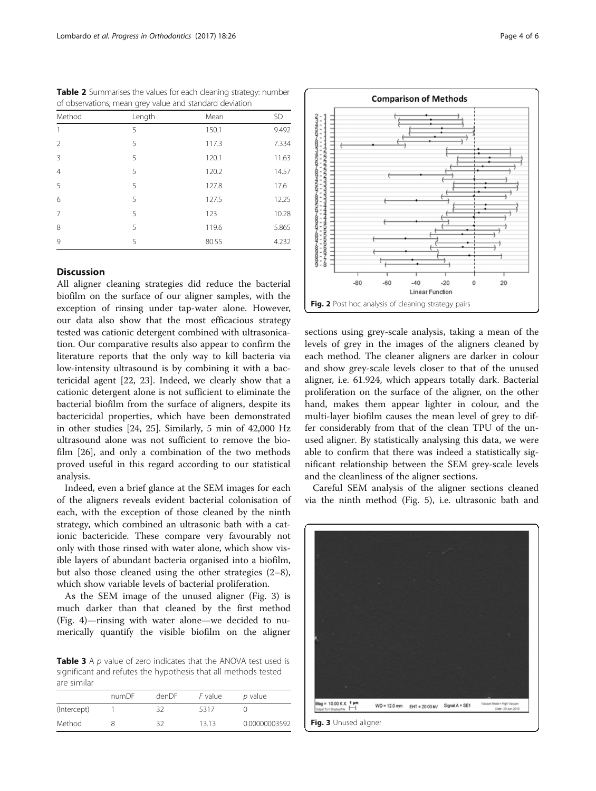| Method         | Length | Mean  | SD    |
|----------------|--------|-------|-------|
|                | 5      | 150.1 | 9.492 |
| $\mathcal{P}$  | 5      | 117.3 | 7.334 |
| 3              | 5      | 120.1 | 11.63 |
| $\overline{4}$ | 5      | 120.2 | 14.57 |
| 5              | 5      | 127.8 | 17.6  |
| 6              | 5      | 127.5 | 12.25 |
| 7              | 5      | 123   | 10.28 |
| 8              | 5      | 119.6 | 5.865 |
| 9              | 5      | 80.55 | 4.232 |

<span id="page-3-0"></span>Table 2 Summarises the values for each cleaning strategy: number of observations, mean grey value and standard deviation

## Discussion

All aligner cleaning strategies did reduce the bacterial biofilm on the surface of our aligner samples, with the exception of rinsing under tap-water alone. However, our data also show that the most efficacious strategy tested was cationic detergent combined with ultrasonication. Our comparative results also appear to confirm the literature reports that the only way to kill bacteria via low-intensity ultrasound is by combining it with a bactericidal agent [[22](#page-5-0), [23\]](#page-5-0). Indeed, we clearly show that a cationic detergent alone is not sufficient to eliminate the bacterial biofilm from the surface of aligners, despite its bactericidal properties, which have been demonstrated in other studies [[24, 25\]](#page-5-0). Similarly, 5 min of 42,000 Hz ultrasound alone was not sufficient to remove the biofilm [\[26](#page-5-0)], and only a combination of the two methods proved useful in this regard according to our statistical analysis.

Indeed, even a brief glance at the SEM images for each of the aligners reveals evident bacterial colonisation of each, with the exception of those cleaned by the ninth strategy, which combined an ultrasonic bath with a cationic bactericide. These compare very favourably not only with those rinsed with water alone, which show visible layers of abundant bacteria organised into a biofilm, but also those cleaned using the other strategies (2–8), which show variable levels of bacterial proliferation.

As the SEM image of the unused aligner (Fig. 3) is much darker than that cleaned by the first method (Fig. [4](#page-4-0))—rinsing with water alone—we decided to numerically quantify the visible biofilm on the aligner

**Table 3** A  $p$  value of zero indicates that the ANOVA test used is significant and refutes the hypothesis that all methods tested are similar

|             | numDF | denDF | F value | p value       |  |  |  |
|-------------|-------|-------|---------|---------------|--|--|--|
| (Intercept) |       | 32    | 5317    |               |  |  |  |
| Method      |       | 32    | 13.13   | 0.00000003592 |  |  |  |



sections using grey-scale analysis, taking a mean of the levels of grey in the images of the aligners cleaned by each method. The cleaner aligners are darker in colour and show grey-scale levels closer to that of the unused aligner, i.e. 61.924, which appears totally dark. Bacterial proliferation on the surface of the aligner, on the other hand, makes them appear lighter in colour, and the multi-layer biofilm causes the mean level of grey to differ considerably from that of the clean TPU of the unused aligner. By statistically analysing this data, we were able to confirm that there was indeed a statistically significant relationship between the SEM grey-scale levels and the cleanliness of the aligner sections.

Careful SEM analysis of the aligner sections cleaned via the ninth method (Fig. [5](#page-4-0)), i.e. ultrasonic bath and

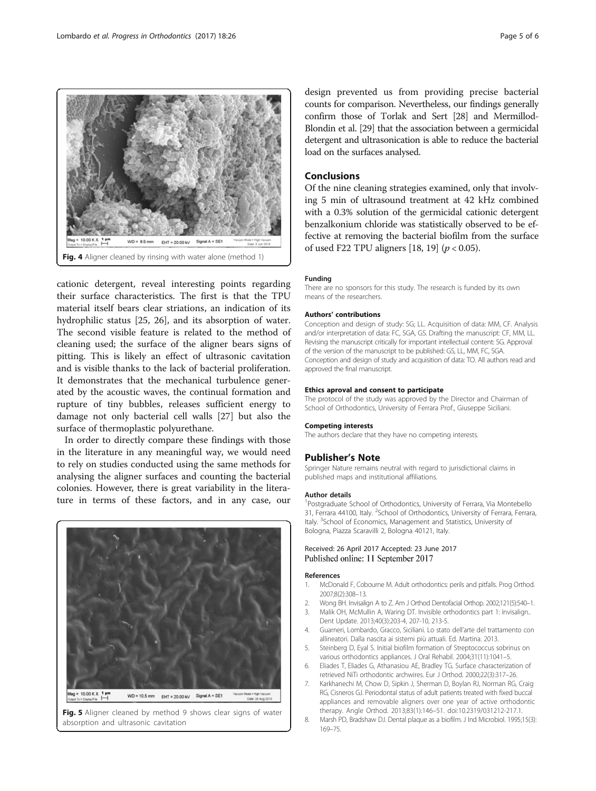<span id="page-4-0"></span>

cationic detergent, reveal interesting points regarding their surface characteristics. The first is that the TPU material itself bears clear striations, an indication of its hydrophilic status [[25, 26\]](#page-5-0), and its absorption of water. The second visible feature is related to the method of cleaning used; the surface of the aligner bears signs of pitting. This is likely an effect of ultrasonic cavitation and is visible thanks to the lack of bacterial proliferation. It demonstrates that the mechanical turbulence generated by the acoustic waves, the continual formation and rupture of tiny bubbles, releases sufficient energy to damage not only bacterial cell walls [\[27](#page-5-0)] but also the surface of thermoplastic polyurethane.

In order to directly compare these findings with those in the literature in any meaningful way, we would need to rely on studies conducted using the same methods for analysing the aligner surfaces and counting the bacterial colonies. However, there is great variability in the literature in terms of these factors, and in any case, our



Fig. 5 Aligner cleaned by method 9 shows clear signs of water absorption and ultrasonic cavitation

design prevented us from providing precise bacterial counts for comparison. Nevertheless, our findings generally confirm those of Torlak and Sert [[28](#page-5-0)] and Mermillod-Blondin et al. [\[29\]](#page-5-0) that the association between a germicidal detergent and ultrasonication is able to reduce the bacterial load on the surfaces analysed.

## Conclusions

Of the nine cleaning strategies examined, only that involving 5 min of ultrasound treatment at 42 kHz combined with a 0.3% solution of the germicidal cationic detergent benzalkonium chloride was statistically observed to be effective at removing the bacterial biofilm from the surface of used F22 TPU aligners [[18](#page-5-0), [19\]](#page-5-0) ( $p < 0.05$ ).

#### Funding

There are no sponsors for this study. The research is funded by its own means of the researchers.

#### Authors' contributions

Conception and design of study: SG; LL. Acquisition of data: MM, CF. Analysis and/or interpretation of data: FC, SGA, GS. Drafting the manuscript: CF, MM, LL. Revising the manuscript critically for important intellectual content: SG. Approval of the version of the manuscript to be published: GS, LL, MM, FC, SGA. Conception and design of study and acquisition of data: TO. All authors read and approved the final manuscript.

#### Ethics aproval and consent to participate

The protocol of the study was approved by the Director and Chairman of School of Orthodontics, University of Ferrara Prof., Giuseppe Siciliani.

#### Competing interests

The authors declare that they have no competing interests.

#### Publisher's Note

Springer Nature remains neutral with regard to jurisdictional claims in published maps and institutional affiliations.

#### Author details

<sup>1</sup>Postgraduate School of Orthodontics, University of Ferrara, Via Montebello 31, Ferrara 44100, Italy. <sup>2</sup>School of Orthodontics, University of Ferrara, Ferrara Italy. <sup>3</sup>School of Economics, Management and Statistics, University of Bologna, Piazza Scaravilli 2, Bologna 40121, Italy.

#### Received: 26 April 2017 Accepted: 23 June 2017 Published online: 11 September 2017

#### References

- 1. McDonald F, Cobourne M. Adult orthodontics: perils and pitfalls. Prog Orthod. 2007;8(2):308–13.
- 2. Wong BH. Invisalign A to Z. Am J Orthod Dentofacial Orthop. 2002;121(5):540–1.
- 3. Malik OH, McMullin A, Waring DT. Invisible orthodontics part 1: Invisalign.. Dent Update. 2013;40(3):203-4, 207-10, 213-5.
- 4. Guarneri, Lombardo, Gracco, Siciliani. Lo stato dell'arte del trattamento con allineatori. Dalla nascita ai sistemi più attuali. Ed. Martina. 2013.
- 5. Steinberg D, Eyal S. Initial biofilm formation of Streptococcus sobrinus on various orthodontics appliances. J Oral Rehabil. 2004;31(11):1041–5.
- 6. Eliades T, Eliades G, Athanasiou AE, Bradley TG. Surface characterization of retrieved NiTi orthodontic archwires. Eur J Orthod. 2000;22(3):317–26.
- 7. Karkhanechi M, Chow D, Sipkin J, Sherman D, Boylan RJ, Norman RG, Craig RG, Cisneros GJ. Periodontal status of adult patients treated with fixed buccal appliances and removable aligners over one year of active orthodontic therapy. Angle Orthod. 2013;83(1):146–51. doi:[10.2319/031212-217.1](http://dx.doi.org/10.2319/031212-217.1).
- 8. Marsh PD, Bradshaw DJ. Dental plaque as a biofilm. J Ind Microbiol. 1995;15(3): 169–75.